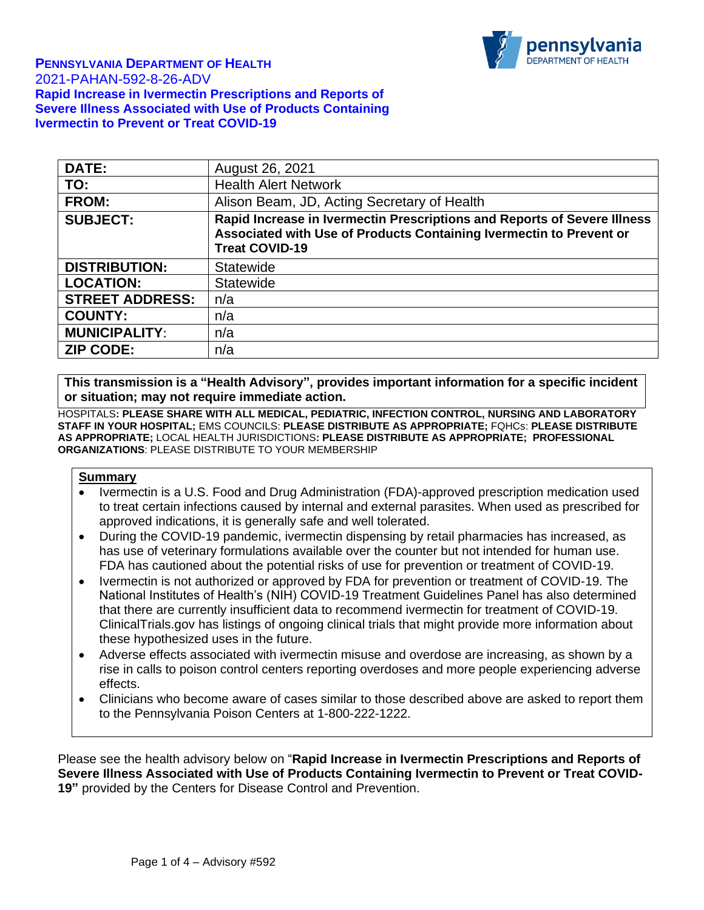

| <b>DATE:</b>           | August 26, 2021                                                                                                                                                          |
|------------------------|--------------------------------------------------------------------------------------------------------------------------------------------------------------------------|
| TO:                    | <b>Health Alert Network</b>                                                                                                                                              |
| <b>FROM:</b>           | Alison Beam, JD, Acting Secretary of Health                                                                                                                              |
| <b>SUBJECT:</b>        | Rapid Increase in Ivermectin Prescriptions and Reports of Severe Illness<br>Associated with Use of Products Containing Ivermectin to Prevent or<br><b>Treat COVID-19</b> |
| <b>DISTRIBUTION:</b>   | <b>Statewide</b>                                                                                                                                                         |
| <b>LOCATION:</b>       | <b>Statewide</b>                                                                                                                                                         |
| <b>STREET ADDRESS:</b> | n/a                                                                                                                                                                      |
| <b>COUNTY:</b>         | n/a                                                                                                                                                                      |
| <b>MUNICIPALITY:</b>   | n/a                                                                                                                                                                      |
| <b>ZIP CODE:</b>       | n/a                                                                                                                                                                      |

**This transmission is a "Health Advisory", provides important information for a specific incident or situation; may not require immediate action.** 

HOSPITALS**: PLEASE SHARE WITH ALL MEDICAL, PEDIATRIC, INFECTION CONTROL, NURSING AND LABORATORY STAFF IN YOUR HOSPITAL;** EMS COUNCILS: **PLEASE DISTRIBUTE AS APPROPRIATE;** FQHCs: **PLEASE DISTRIBUTE AS APPROPRIATE;** LOCAL HEALTH JURISDICTIONS**: PLEASE DISTRIBUTE AS APPROPRIATE; PROFESSIONAL ORGANIZATIONS**: PLEASE DISTRIBUTE TO YOUR MEMBERSHIP

#### **Summary**

- Ivermectin is a U.S. Food and Drug Administration (FDA)-approved prescription medication used to treat certain infections caused by internal and external parasites. When used as prescribed for approved indications, it is generally safe and well tolerated.
- During the COVID-19 pandemic, ivermectin dispensing by retail pharmacies has increased, as has use of veterinary formulations available over the counter but not intended for human use. FDA has cautioned about the potential risks of use for prevention or treatment of COVID-19.
- Ivermectin is not authorized or approved by FDA for prevention or treatment of COVID-19. The National Institutes of Health's (NIH) COVID-19 Treatment Guidelines Panel has also determined that there are currently insufficient data to recommend ivermectin for treatment of COVID-19. ClinicalTrials.gov has listings of ongoing clinical trials that might provide more information about these hypothesized uses in the future.
- Adverse effects associated with ivermectin misuse and overdose are increasing, as shown by a rise in calls to poison control centers reporting overdoses and more people experiencing adverse effects.
- Clinicians who become aware of cases similar to those described above are asked to report them to the Pennsylvania Poison Centers at 1-800-222-1222.

Please see the health advisory below on "**Rapid Increase in Ivermectin Prescriptions and Reports of Severe Illness Associated with Use of Products Containing Ivermectin to Prevent or Treat COVID-19"** provided by the Centers for Disease Control and Prevention.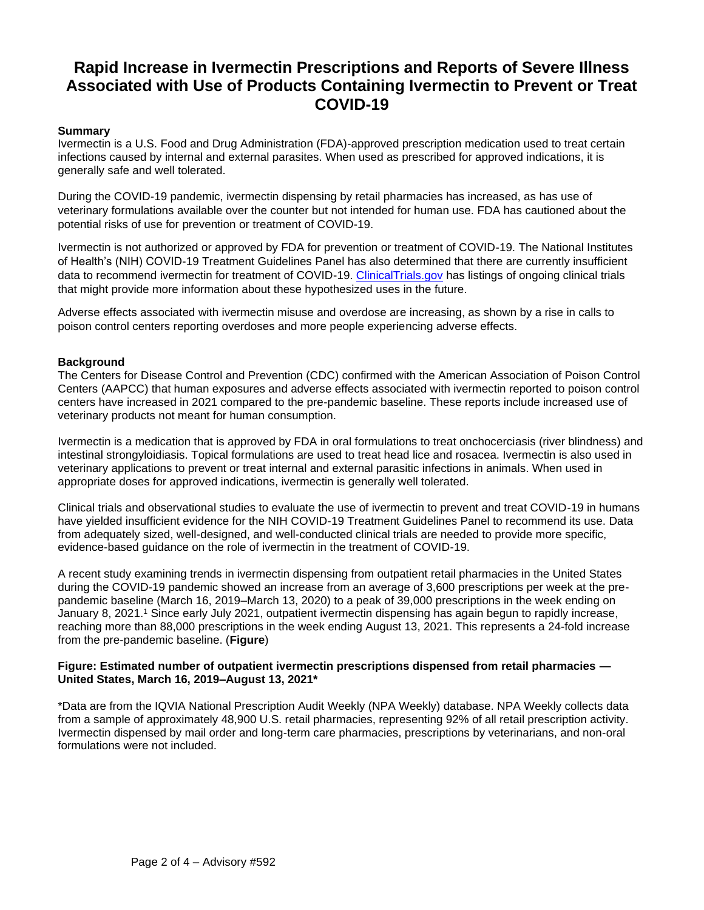# **Rapid Increase in Ivermectin Prescriptions and Reports of Severe Illness Associated with Use of Products Containing Ivermectin to Prevent or Treat COVID-19**

## **Summary**

Ivermectin is a U.S. Food and Drug Administration (FDA)-approved prescription medication used to treat certain infections caused by internal and external parasites. When used as prescribed for approved indications, it is generally safe and well tolerated.

During the COVID-19 pandemic, ivermectin dispensing by retail pharmacies has increased, as has use of veterinary formulations available over the counter but not intended for human use. FDA has cautioned about the potential risks of use for prevention or treatment of COVID-19.

Ivermectin is not authorized or approved by FDA for prevention or treatment of COVID-19. The National Institutes of Health's (NIH) COVID-19 Treatment Guidelines Panel has also determined that there are currently insufficient data to recommend ivermectin for treatment of COVID-19. [ClinicalTrials.gov](https://gcc02.safelinks.protection.outlook.com/?url=https%3A%2F%2Fclinicaltrials.gov%2F&data=04%7C01%7Canambiar%40pa.gov%7Cd13718b8f60942253b7008d968ab163a%7C418e284101284dd59b6c47fc5a9a1bde%7C0%7C0%7C637655906752871164%7CUnknown%7CTWFpbGZsb3d8eyJWIjoiMC4wLjAwMDAiLCJQIjoiV2luMzIiLCJBTiI6Ik1haWwiLCJXVCI6Mn0%3D%7C1000&sdata=hazm1%2BNBxpOo6m2CXug39JyWvuMNCZG80%2BMl8WUmJao%3D&reserved=0) has listings of ongoing clinical trials that might provide more information about these hypothesized uses in the future.

Adverse effects associated with ivermectin misuse and overdose are increasing, as shown by a rise in calls to poison control centers reporting overdoses and more people experiencing adverse effects.

## **Background**

The Centers for Disease Control and Prevention (CDC) confirmed with the American Association of Poison Control Centers (AAPCC) that human exposures and adverse effects associated with ivermectin reported to poison control centers have increased in 2021 compared to the pre-pandemic baseline. These reports include increased use of veterinary products not meant for human consumption.

Ivermectin is a medication that is approved by FDA in oral formulations to treat onchocerciasis (river blindness) and intestinal strongyloidiasis. Topical formulations are used to treat head lice and rosacea. Ivermectin is also used in veterinary applications to prevent or treat internal and external parasitic infections in animals. When used in appropriate doses for approved indications, ivermectin is generally well tolerated.

Clinical trials and observational studies to evaluate the use of ivermectin to prevent and treat COVID-19 in humans have yielded insufficient evidence for the NIH COVID-19 Treatment Guidelines Panel to recommend its use. Data from adequately sized, well-designed, and well-conducted clinical trials are needed to provide more specific, evidence-based guidance on the role of ivermectin in the treatment of COVID-19.

A recent study examining trends in ivermectin dispensing from outpatient retail pharmacies in the United States during the COVID-19 pandemic showed an increase from an average of 3,600 prescriptions per week at the prepandemic baseline (March 16, 2019–March 13, 2020) to a peak of 39,000 prescriptions in the week ending on January 8, 2021.<sup>1</sup> Since early July 2021, outpatient ivermectin dispensing has again begun to rapidly increase, reaching more than 88,000 prescriptions in the week ending August 13, 2021. This represents a 24-fold increase from the pre-pandemic baseline. (**Figure**)

#### **Figure: Estimated number of outpatient ivermectin prescriptions dispensed from retail pharmacies — United States, March 16, 2019–August 13, 2021\***

\*Data are from the IQVIA National Prescription Audit Weekly (NPA Weekly) database. NPA Weekly collects data from a sample of approximately 48,900 U.S. retail pharmacies, representing 92% of all retail prescription activity. Ivermectin dispensed by mail order and long-term care pharmacies, prescriptions by veterinarians, and non-oral formulations were not included.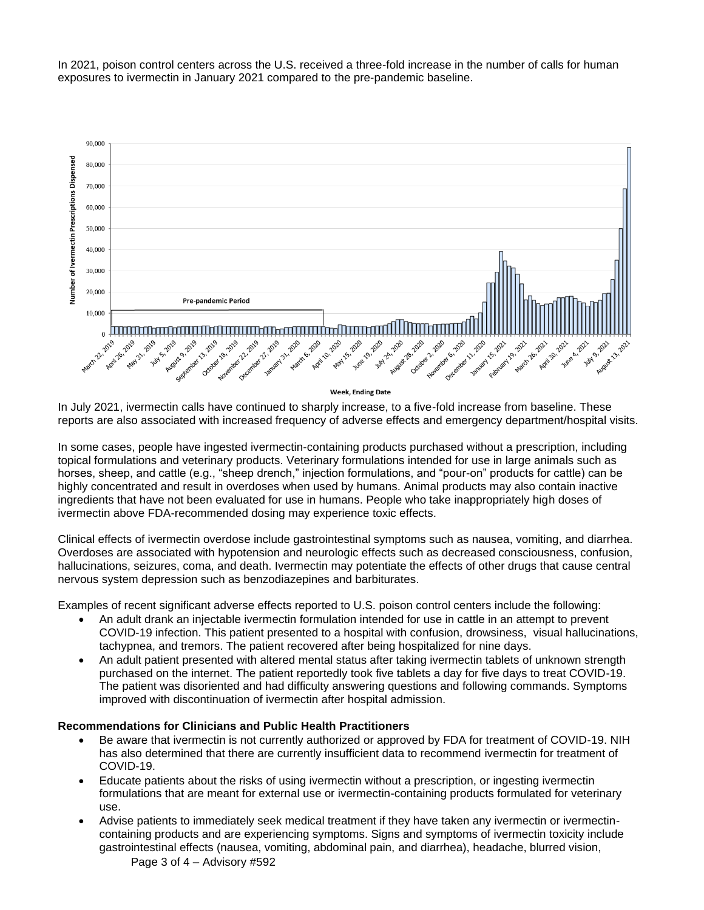In 2021, poison control centers across the U.S. received a three-fold increase in the number of calls for human exposures to ivermectin in January 2021 compared to the pre-pandemic baseline.



In July 2021, ivermectin calls have continued to sharply increase, to a five-fold increase from baseline. These reports are also associated with increased frequency of adverse effects and emergency department/hospital visits.

In some cases, people have ingested ivermectin-containing products purchased without a prescription, including topical formulations and veterinary products. Veterinary formulations intended for use in large animals such as horses, sheep, and cattle (e.g., "sheep drench," injection formulations, and "pour-on" products for cattle) can be highly concentrated and result in overdoses when used by humans. Animal products may also contain inactive ingredients that have not been evaluated for use in humans. People who take inappropriately high doses of ivermectin above FDA-recommended dosing may experience toxic effects.

Clinical effects of ivermectin overdose include gastrointestinal symptoms such as nausea, vomiting, and diarrhea. Overdoses are associated with hypotension and neurologic effects such as decreased consciousness, confusion, hallucinations, seizures, coma, and death. Ivermectin may potentiate the effects of other drugs that cause central nervous system depression such as benzodiazepines and barbiturates.

Examples of recent significant adverse effects reported to U.S. poison control centers include the following:

- An adult drank an injectable ivermectin formulation intended for use in cattle in an attempt to prevent COVID-19 infection. This patient presented to a hospital with confusion, drowsiness, visual hallucinations, tachypnea, and tremors. The patient recovered after being hospitalized for nine days.
- An adult patient presented with altered mental status after taking ivermectin tablets of unknown strength purchased on the internet. The patient reportedly took five tablets a day for five days to treat COVID-19. The patient was disoriented and had difficulty answering questions and following commands. Symptoms improved with discontinuation of ivermectin after hospital admission.

#### **Recommendations for Clinicians and Public Health Practitioners**

- Be aware that ivermectin is not currently authorized or approved by FDA for treatment of COVID-19. NIH has also determined that there are currently insufficient data to recommend ivermectin for treatment of COVID-19.
- Educate patients about the risks of using ivermectin without a prescription, or ingesting ivermectin formulations that are meant for external use or ivermectin-containing products formulated for veterinary use.
- Advise patients to immediately seek medical treatment if they have taken any ivermectin or ivermectincontaining products and are experiencing symptoms. Signs and symptoms of ivermectin toxicity include gastrointestinal effects (nausea, vomiting, abdominal pain, and diarrhea), headache, blurred vision,